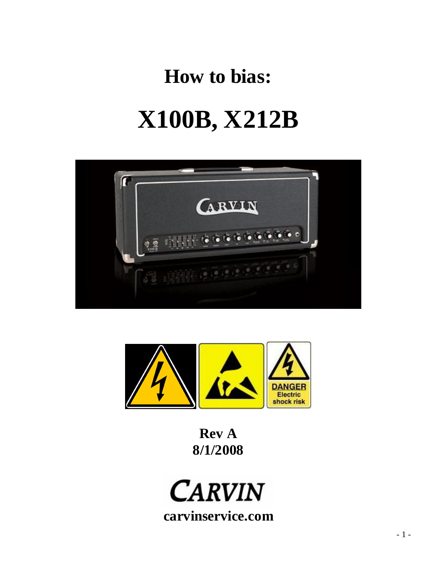# **How to bias: X100B, X212B**





**Rev A 8/1/2008**

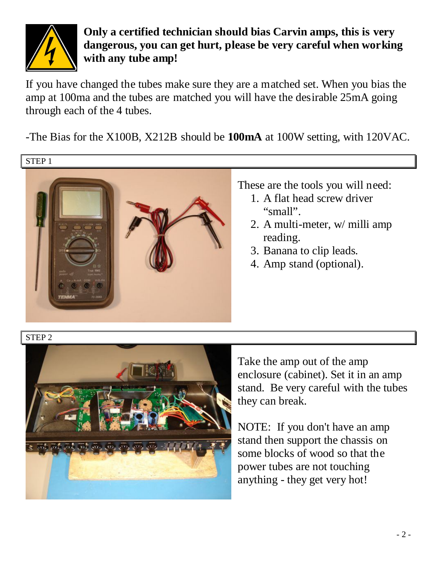

**Only a certified technician should bias Carvin amps, this is very dangerous, you can get hurt, please be very careful when working with any tube amp!**

If you have changed the tubes make sure they are a matched set. When you bias the amp at 100ma and the tubes are matched you will have the desirable 25mA going through each of the 4 tubes.

-The Bias for the X100B, X212B should be **100mA** at 100W setting, with 120VAC.

STEP 1



## These are the tools you will need:

- 1. A flat head screw driver "small".
- 2. A multi-meter, w/ milli amp reading.
- 3. Banana to clip leads.
- 4. Amp stand (optional).

### STEP 2



Take the amp out of the amp enclosure (cabinet). Set it in an amp stand. Be very careful with the tubes they can break.

NOTE: If you don't have an amp stand then support the chassis on some blocks of wood so that the power tubes are not touching anything - they get very hot!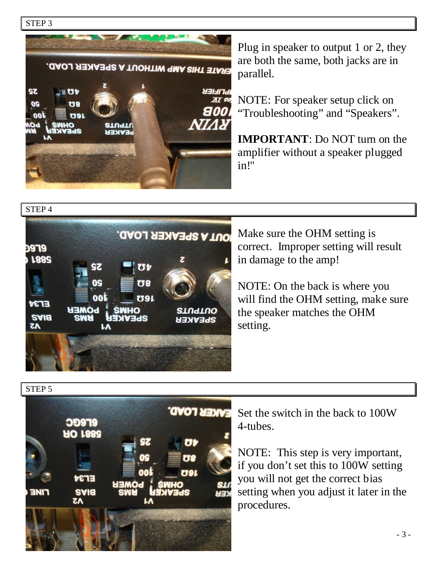



Plug in speaker to output 1 or 2, they are both the same, both jacks are in parallel.

NOTE: For speaker setup click on "Troubleshooting" and "Speakers".

**IMPORTANT**: Do NOT turn on the amplifier without a speaker plugged in!"



Make sure the OHM setting is correct. Improper setting will result in damage to the amp!

NOTE: On the back is where you will find the OHM setting, make sure the speaker matches the OHM setting.

STEP 5



Set the switch in the back to 100W 4-tubes.

NOTE: This step is very important, if you don't set this to 100W setting you will not get the correct bias setting when you adjust it later in the procedures.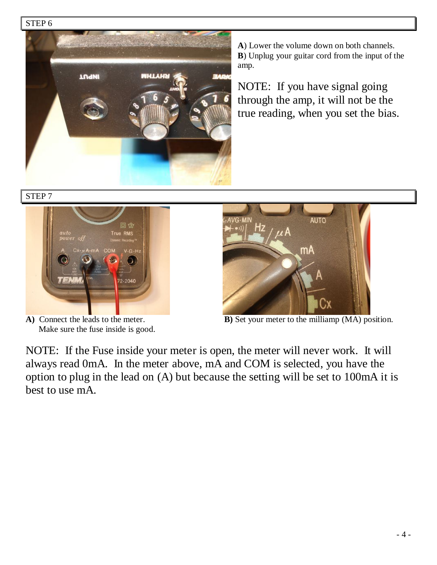#### STEP 6



**A**) Lower the volume down on both channels. **B**) Unplug your guitar cord from the input of the amp.

NOTE: If you have signal going through the amp, it will not be the true reading, when you set the bias.

STEP 7



Make sure the fuse inside is good.



**A)** Connect the leads to the meter. **B)** Set your meter to the milliamp (MA) position.

NOTE: If the Fuse inside your meter is open, the meter will never work. It will always read 0mA. In the meter above, mA and COM is selected, you have the option to plug in the lead on (A) but because the setting will be set to 100mA it is best to use mA.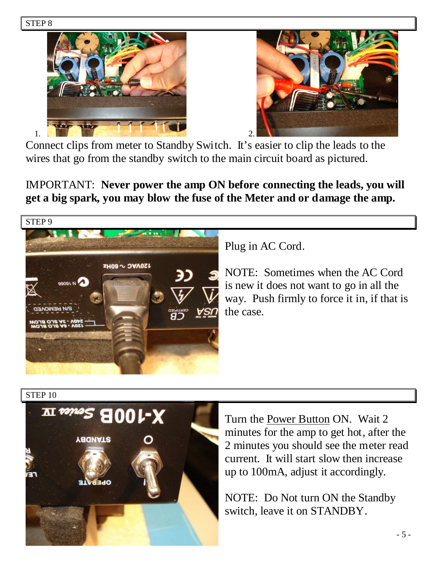



Connect clips from meter to Standby Switch. It's easier to clip the leads to the wires that go from the standby switch to the main circuit board as pictured.

IMPORTANT: **Never power the amp ON before connecting the leads, you will get a big spark, you may blow the fuse of the Meter and or damage the amp.**



Plug in AC Cord.

NOTE: Sometimes when the AC Cord is new it does not want to go in all the way. Push firmly to force it in, if that is the case.

STEP 10



Turn the Power Button ON. Wait 2 minutes for the amp to get hot, after the 2 minutes you should see the meter read current. It will start slow then increase up to 100mA, adjust it accordingly.

NOTE: Do Not turn ON the Standby switch, leave it on STANDBY.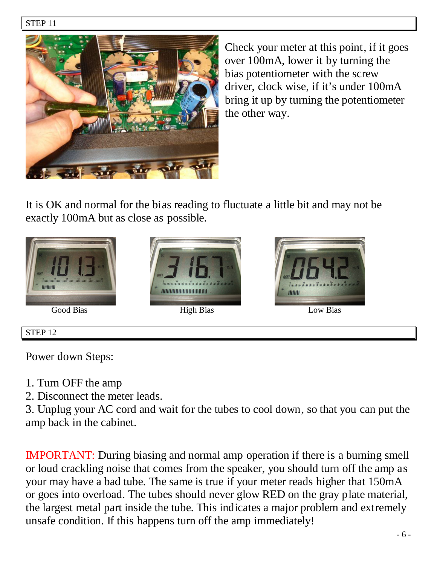

Check your meter at this point, if it goes over 100mA, lower it by turning the bias potentiometer with the screw driver, clock wise, if it's under 100mA bring it up by turning the potentiometer the other way.

It is OK and normal for the bias reading to fluctuate a little bit and may not be exactly 100mA but as close as possible.





Good Bias High Bias High Bias Low Bias



#### STEP 12

Power down Steps:

- 1. Turn OFF the amp
- 2. Disconnect the meter leads.

3. Unplug your AC cord and wait for the tubes to cool down, so that you can put the amp back in the cabinet.

IMPORTANT: During biasing and normal amp operation if there is a burning smell or loud crackling noise that comes from the speaker, you should turn off the amp as your may have a bad tube. The same is true if your meter reads higher that 150mA or goes into overload. The tubes should never glow RED on the gray plate material, the largest metal part inside the tube. This indicates a major problem and extremely unsafe condition. If this happens turn off the amp immediately!